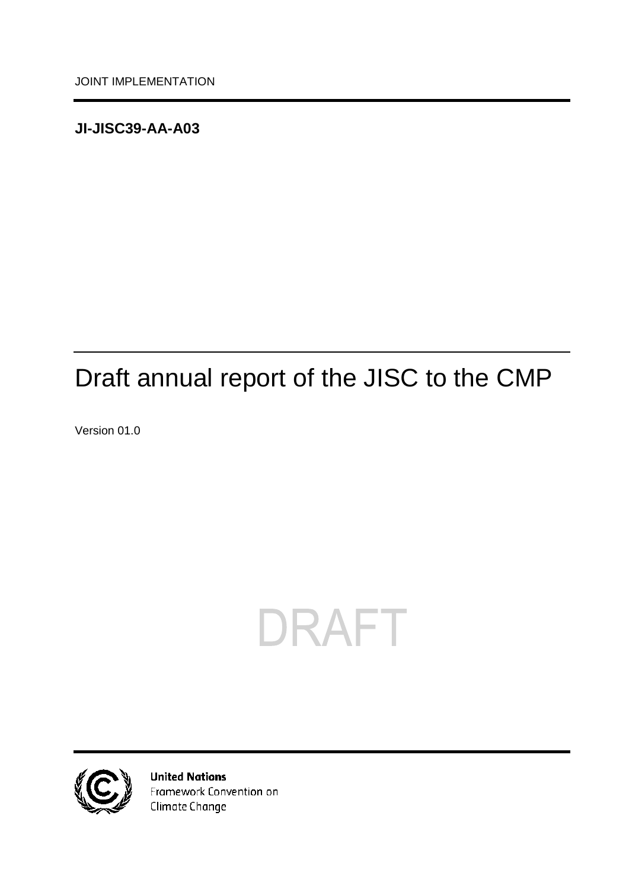<span id="page-0-0"></span>**JI-JISC39-AA-A03**

## <span id="page-0-1"></span>Draft annual report of the JISC to the CMP

<span id="page-0-2"></span>Version 01.0

# DRAFT



**United Nations** Framework Convention on Climate Change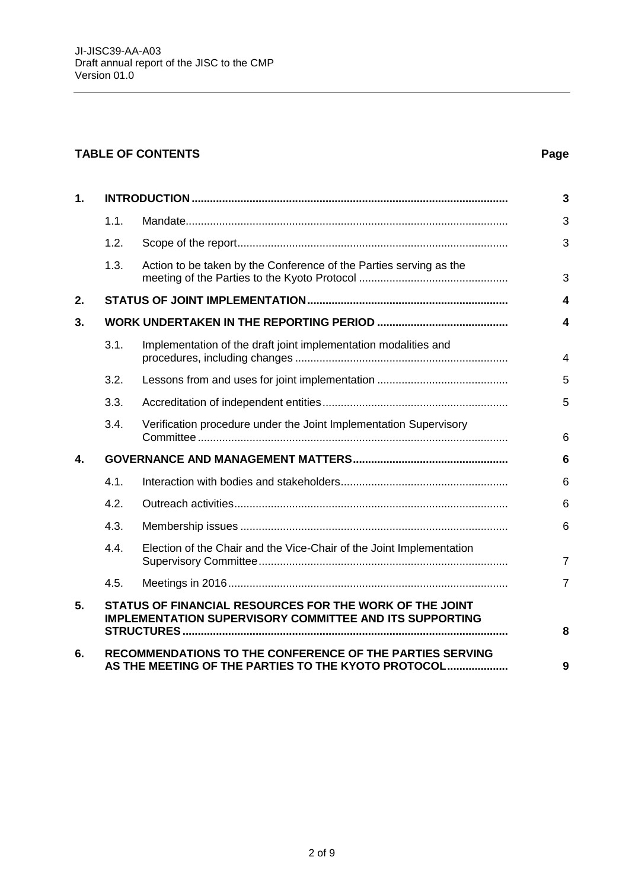#### **TABLE OF CONTENTS Page**

| 1. |                                                                                                                           |                                                                                                                 | $\overline{\mathbf{3}}$ |
|----|---------------------------------------------------------------------------------------------------------------------------|-----------------------------------------------------------------------------------------------------------------|-------------------------|
|    | 1.1.                                                                                                                      |                                                                                                                 | 3                       |
|    | 1.2.                                                                                                                      |                                                                                                                 | 3                       |
|    | 1.3.                                                                                                                      | Action to be taken by the Conference of the Parties serving as the                                              | 3                       |
| 2. |                                                                                                                           |                                                                                                                 | 4                       |
| 3. |                                                                                                                           |                                                                                                                 | 4                       |
|    | 3.1.                                                                                                                      | Implementation of the draft joint implementation modalities and                                                 | 4                       |
|    | 3.2.                                                                                                                      |                                                                                                                 | 5                       |
|    | 3.3.                                                                                                                      |                                                                                                                 | 5                       |
|    | 3.4.                                                                                                                      | Verification procedure under the Joint Implementation Supervisory                                               | 6                       |
| 4. |                                                                                                                           |                                                                                                                 | 6                       |
|    | 4.1.                                                                                                                      |                                                                                                                 | 6                       |
|    | 4.2.                                                                                                                      |                                                                                                                 | 6                       |
|    | 4.3.                                                                                                                      |                                                                                                                 | 6                       |
|    | 4.4.                                                                                                                      | Election of the Chair and the Vice-Chair of the Joint Implementation                                            | $\overline{7}$          |
|    | 4.5.                                                                                                                      |                                                                                                                 | $\overline{7}$          |
| 5. | STATUS OF FINANCIAL RESOURCES FOR THE WORK OF THE JOINT<br><b>IMPLEMENTATION SUPERVISORY COMMITTEE AND ITS SUPPORTING</b> |                                                                                                                 | 8                       |
| 6. |                                                                                                                           | RECOMMENDATIONS TO THE CONFERENCE OF THE PARTIES SERVING<br>AS THE MEETING OF THE PARTIES TO THE KYOTO PROTOCOL | 9                       |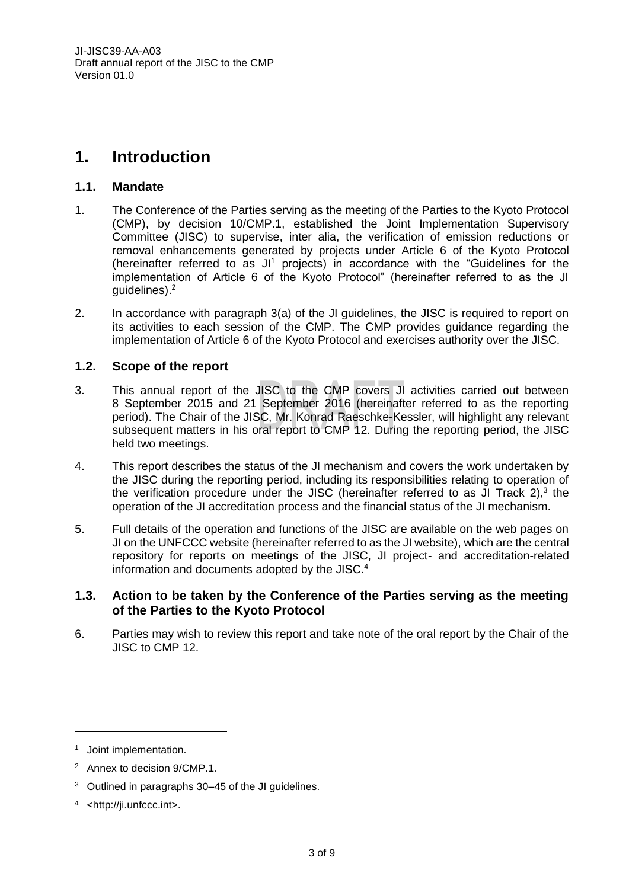#### <span id="page-2-0"></span>**1. Introduction**

#### <span id="page-2-1"></span>**1.1. Mandate**

- 1. The Conference of the Parties serving as the meeting of the Parties to the Kyoto Protocol (CMP), by decision 10/CMP.1, established the Joint Implementation Supervisory Committee (JISC) to supervise, inter alia, the verification of emission reductions or removal enhancements generated by projects under Article 6 of the Kyoto Protocol (hereinafter referred to as JI<sup>1</sup> projects) in accordance with the "Guidelines for the implementation of Article 6 of the Kyoto Protocol" (hereinafter referred to as the JI guidelines).<sup>2</sup>
- 2. In accordance with paragraph 3(a) of the JI guidelines, the JISC is required to report on its activities to each session of the CMP. The CMP provides guidance regarding the implementation of Article 6 of the Kyoto Protocol and exercises authority over the JISC.

#### <span id="page-2-2"></span>**1.2. Scope of the report**

- 3. This annual report of the JISC to the CMP covers JI activities carried out between 8 September 2015 and 21 September 2016 (hereinafter referred to as the reporting period). The Chair of the JISC, Mr. Konrad Raeschke-Kessler, will highlight any relevant subsequent matters in his oral report to CMP 12. During the reporting period, the JISC held two meetings.
- 4. This report describes the status of the JI mechanism and covers the work undertaken by the JISC during the reporting period, including its responsibilities relating to operation of the verification procedure under the JISC (hereinafter referred to as JI Track 2), 3 the operation of the JI accreditation process and the financial status of the JI mechanism.
- 5. Full details of the operation and functions of the JISC are available on the web pages on JI on the UNFCCC website (hereinafter referred to as the JI website), which are the central repository for reports on meetings of the JISC, JI project- and accreditation-related information and documents adopted by the JISC.<sup>4</sup>

#### <span id="page-2-3"></span>**1.3. Action to be taken by the Conference of the Parties serving as the meeting of the Parties to the Kyoto Protocol**

6. Parties may wish to review this report and take note of the oral report by the Chair of the JISC to CMP 12.

<sup>1</sup> Joint implementation.

<sup>2</sup> Annex to decision 9/CMP.1.

<sup>3</sup> Outlined in paragraphs 30–45 of the JI guidelines.

<sup>4</sup> <http://ji.unfccc.int>.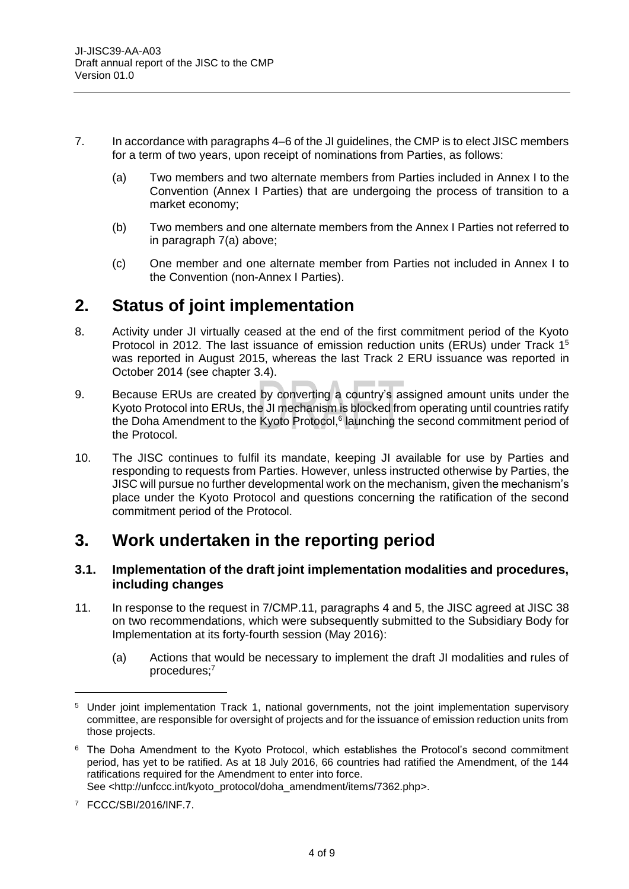- 7. In accordance with paragraphs 4–6 of the JI guidelines, the CMP is to elect JISC members for a term of two years, upon receipt of nominations from Parties, as follows:
	- (a) Two members and two alternate members from Parties included in Annex I to the Convention (Annex I Parties) that are undergoing the process of transition to a market economy;
	- (b) Two members and one alternate members from the Annex I Parties not referred to in paragraph 7(a) above;
	- (c) One member and one alternate member from Parties not included in Annex I to the Convention (non-Annex I Parties).

#### <span id="page-3-0"></span>**2. Status of joint implementation**

- 8. Activity under JI virtually ceased at the end of the first commitment period of the Kyoto Protocol in 2012. The last issuance of emission reduction units (ERUs) under Track 1<sup>5</sup> was reported in August 2015, whereas the last Track 2 ERU issuance was reported in October 2014 (see chapter 3.4).
- 9. Because ERUs are created by converting a country's assigned amount units under the Kyoto Protocol into ERUs, the JI mechanism is blocked from operating until countries ratify the Doha Amendment to the Kyoto Protocol,<sup>6</sup> launching the second commitment period of the Protocol.
- 10. The JISC continues to fulfil its mandate, keeping JI available for use by Parties and responding to requests from Parties. However, unless instructed otherwise by Parties, the JISC will pursue no further developmental work on the mechanism, given the mechanism's place under the Kyoto Protocol and questions concerning the ratification of the second commitment period of the Protocol.

### <span id="page-3-1"></span>**3. Work undertaken in the reporting period**

#### <span id="page-3-2"></span>**3.1. Implementation of the draft joint implementation modalities and procedures, including changes**

- 11. In response to the request in 7/CMP.11, paragraphs 4 and 5, the JISC agreed at JISC 38 on two recommendations, which were subsequently submitted to the Subsidiary Body for Implementation at its forty-fourth session (May 2016):
	- (a) Actions that would be necessary to implement the draft JI modalities and rules of procedures; 7

 $\overline{a}$ 

<sup>5</sup> Under joint implementation Track 1, national governments, not the joint implementation supervisory committee, are responsible for oversight of projects and for the issuance of emission reduction units from those projects.

<sup>&</sup>lt;sup>6</sup> The Doha Amendment to the Kyoto Protocol, which establishes the Protocol's second commitment period, has yet to be ratified. As at 18 July 2016, 66 countries had ratified the Amendment, of the 144 ratifications required for the Amendment to enter into force. See <http://unfccc.int/kyoto\_protocol/doha\_amendment/items/7362.php>.

<sup>7</sup> FCCC/SBI/2016/INF.7.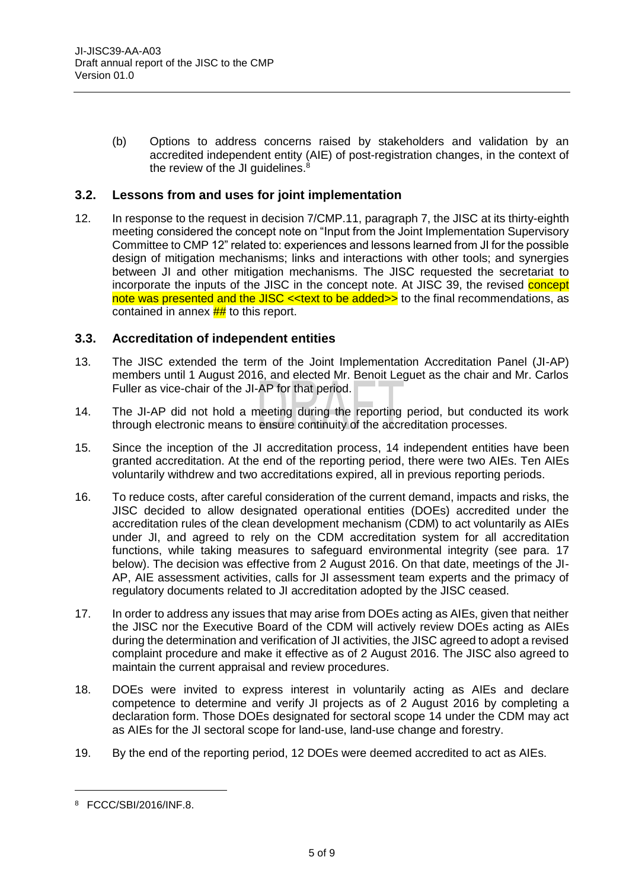(b) Options to address concerns raised by stakeholders and validation by an accredited independent entity (AIE) of post-registration changes, in the context of the review of the JI guidelines.<sup>8</sup>

#### <span id="page-4-0"></span>**3.2. Lessons from and uses for joint implementation**

12. In response to the request in decision 7/CMP.11, paragraph 7, the JISC at its thirty-eighth meeting considered the concept note on "Input from the Joint Implementation Supervisory Committee to CMP 12" related to: experiences and lessons learned from JI for the possible design of mitigation mechanisms; links and interactions with other tools; and synergies between JI and other mitigation mechanisms. The JISC requested the secretariat to incorporate the inputs of the JISC in the concept note. At JISC 39, the revised concept note was presented and the JISC << text to be added >> to the final recommendations, as contained in annex  $\frac{H}{H}$  to this report.

#### <span id="page-4-1"></span>**3.3. Accreditation of independent entities**

- 13. The JISC extended the term of the Joint Implementation Accreditation Panel (JI-AP) members until 1 August 2016, and elected Mr. Benoit Leguet as the chair and Mr. Carlos Fuller as vice-chair of the JI-AP for that period.
- 14. The JI-AP did not hold a meeting during the reporting period, but conducted its work through electronic means to ensure continuity of the accreditation processes.
- 15. Since the inception of the JI accreditation process, 14 independent entities have been granted accreditation. At the end of the reporting period, there were two AIEs. Ten AIEs voluntarily withdrew and two accreditations expired, all in previous reporting periods.
- 16. To reduce costs, after careful consideration of the current demand, impacts and risks, the JISC decided to allow designated operational entities (DOEs) accredited under the accreditation rules of the clean development mechanism (CDM) to act voluntarily as AIEs under JI, and agreed to rely on the CDM accreditation system for all accreditation functions, while taking measures to safeguard environmental integrity (see para. 17 below). The decision was effective from 2 August 2016. On that date, meetings of the JI-AP, AIE assessment activities, calls for JI assessment team experts and the primacy of regulatory documents related to JI accreditation adopted by the JISC ceased.
- 17. In order to address any issues that may arise from DOEs acting as AIEs, given that neither the JISC nor the Executive Board of the CDM will actively review DOEs acting as AIEs during the determination and verification of JI activities, the JISC agreed to adopt a revised complaint procedure and make it effective as of 2 August 2016. The JISC also agreed to maintain the current appraisal and review procedures.
- 18. DOEs were invited to express interest in voluntarily acting as AIEs and declare competence to determine and verify JI projects as of 2 August 2016 by completing a declaration form. Those DOEs designated for sectoral scope 14 under the CDM may act as AIEs for the JI sectoral scope for land-use, land-use change and forestry.
- 19. By the end of the reporting period, 12 DOEs were deemed accredited to act as AIEs.

<sup>8</sup> FCCC/SBI/2016/INF.8.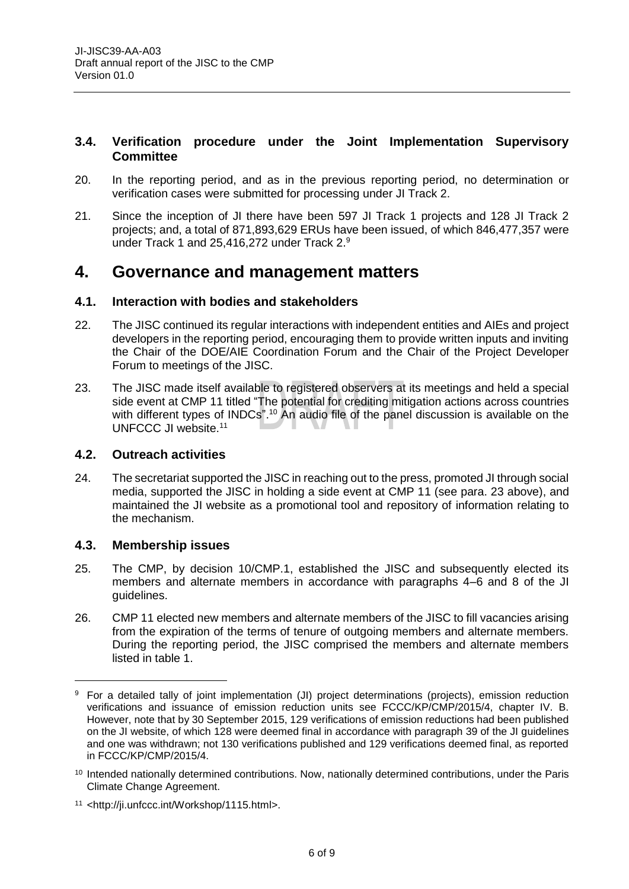#### <span id="page-5-0"></span>**3.4. Verification procedure under the Joint Implementation Supervisory Committee**

- 20. In the reporting period, and as in the previous reporting period, no determination or verification cases were submitted for processing under JI Track 2.
- 21. Since the inception of JI there have been 597 JI Track 1 projects and 128 JI Track 2 projects; and, a total of 871,893,629 ERUs have been issued, of which 846,477,357 were under Track 1 and 25,416,272 under Track 2.<sup>9</sup>

#### <span id="page-5-1"></span>**4. Governance and management matters**

#### <span id="page-5-2"></span>**4.1. Interaction with bodies and stakeholders**

- 22. The JISC continued its regular interactions with independent entities and AIEs and project developers in the reporting period, encouraging them to provide written inputs and inviting the Chair of the DOE/AIE Coordination Forum and the Chair of the Project Developer Forum to meetings of the JISC.
- 23. The JISC made itself available to registered observers at its meetings and held a special side event at CMP 11 titled "The potential for crediting mitigation actions across countries with different types of INDCs".<sup>10</sup> An audio file of the panel discussion is available on the UNFCCC JI website.<sup>11</sup>

#### <span id="page-5-3"></span>**4.2. Outreach activities**

24. The secretariat supported the JISC in reaching out to the press, promoted JI through social media, supported the JISC in holding a side event at CMP 11 (see para. 23 above), and maintained the JI website as a promotional tool and repository of information relating to the mechanism.

#### <span id="page-5-4"></span>**4.3. Membership issues**

- 25. The CMP, by decision 10/CMP.1, established the JISC and subsequently elected its members and alternate members in accordance with paragraphs 4–6 and 8 of the JI guidelines.
- 26. CMP 11 elected new members and alternate members of the JISC to fill vacancies arising from the expiration of the terms of tenure of outgoing members and alternate members. During the reporting period, the JISC comprised the members and alternate members listed in table 1.

<sup>&</sup>lt;sup>9</sup> For a detailed tally of joint implementation (JI) project determinations (projects), emission reduction verifications and issuance of emission reduction units see FCCC/KP/CMP/2015/4, chapter IV. B. However, note that by 30 September 2015, 129 verifications of emission reductions had been published on the JI website, of which 128 were deemed final in accordance with paragraph 39 of the JI guidelines and one was withdrawn; not 130 verifications published and 129 verifications deemed final, as reported in FCCC/KP/CMP/2015/4.

<sup>&</sup>lt;sup>10</sup> Intended nationally determined contributions. Now, nationally determined contributions, under the Paris Climate Change Agreement.

<sup>11</sup> <http://ji.unfccc.int/Workshop/1115.html>.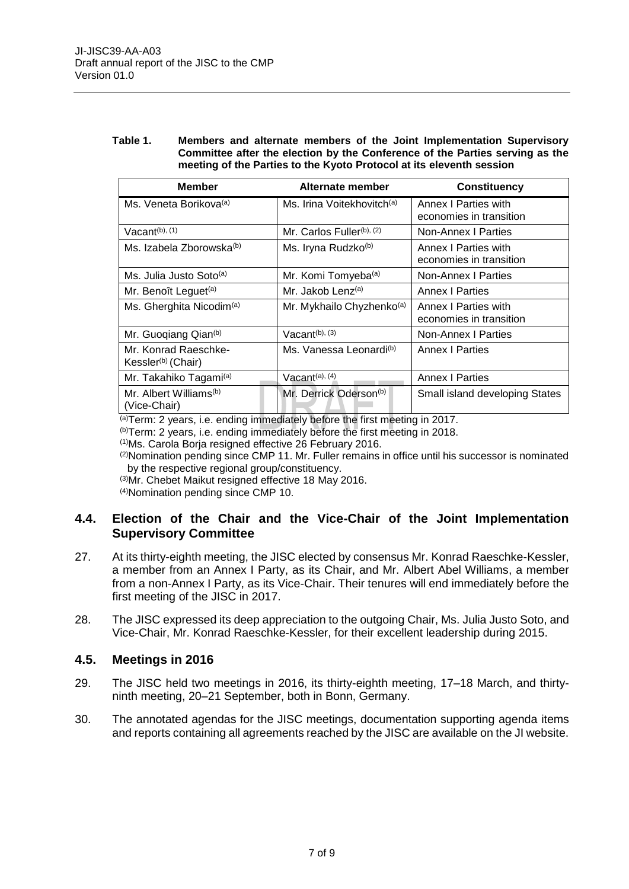| Table 1. | Members and alternate members of the Joint Implementation Supervisory        |
|----------|------------------------------------------------------------------------------|
|          | Committee after the election by the Conference of the Parties serving as the |
|          | meeting of the Parties to the Kyoto Protocol at its eleventh session         |

| <b>Member</b>                                          | Alternate member                       | <b>Constituency</b>                             |
|--------------------------------------------------------|----------------------------------------|-------------------------------------------------|
| Ms. Veneta Borikova <sup>(a)</sup>                     | Ms. Irina Voitekhovitch <sup>(a)</sup> | Annex I Parties with<br>economies in transition |
| Vacant <sup>(b), (1)</sup>                             | Mr. Carlos Fuller <sup>(b), (2)</sup>  | Non-Annex I Parties                             |
| Ms. Izabela Zborowska <sup>(b)</sup>                   | Ms. Iryna Rudzko <sup>(b)</sup>        | Annex I Parties with<br>economies in transition |
| Ms. Julia Justo Soto <sup>(a)</sup>                    | Mr. Komi Tomyeba <sup>(a)</sup>        | Non-Annex I Parties                             |
| Mr. Benoît Leguet <sup>(a)</sup>                       | Mr. Jakob Lenz <sup>(a)</sup>          | <b>Annex I Parties</b>                          |
| Ms. Gherghita Nicodim <sup>(a)</sup>                   | Mr. Mykhailo Chyzhenko <sup>(a)</sup>  | Annex I Parties with<br>economies in transition |
| Mr. Guoqiang Qian(b)                                   | Vacant $(b)$ , $(3)$                   | Non-Annex I Parties                             |
| Mr. Konrad Raeschke-<br>Kessler <sup>(b)</sup> (Chair) | Ms. Vanessa Leonardi <sup>(b)</sup>    | <b>Annex I Parties</b>                          |
| Mr. Takahiko Tagami <sup>(a)</sup>                     | Vacant <sup>(a), (4)</sup>             | <b>Annex I Parties</b>                          |
| Mr. Albert Williams <sup>(b)</sup><br>(Vice-Chair)     | Mr. Derrick Oderson <sup>(b)</sup>     | Small island developing States                  |

(a)Term: 2 years, i.e. ending immediately before the first meeting in 2017.

(b)Term: 2 years, i.e. ending immediately before the first meeting in 2018.

(1)Ms. Carola Borja resigned effective 26 February 2016.

(2) Nomination pending since CMP 11. Mr. Fuller remains in office until his successor is nominated by the respective regional group/constituency.

(3)Mr. Chebet Maikut resigned effective 18 May 2016.

(4)Nomination pending since CMP 10.

#### <span id="page-6-0"></span>**4.4. Election of the Chair and the Vice-Chair of the Joint Implementation Supervisory Committee**

- 27. At its thirty-eighth meeting, the JISC elected by consensus Mr. Konrad Raeschke-Kessler, a member from an Annex I Party, as its Chair, and Mr. Albert Abel Williams, a member from a non-Annex I Party, as its Vice-Chair. Their tenures will end immediately before the first meeting of the JISC in 2017.
- 28. The JISC expressed its deep appreciation to the outgoing Chair, Ms. Julia Justo Soto, and Vice-Chair, Mr. Konrad Raeschke-Kessler, for their excellent leadership during 2015.

#### <span id="page-6-1"></span>**4.5. Meetings in 2016**

- 29. The JISC held two meetings in 2016, its thirty-eighth meeting, 17–18 March, and thirtyninth meeting, 20–21 September, both in Bonn, Germany.
- 30. The annotated agendas for the JISC meetings, documentation supporting agenda items and reports containing all agreements reached by the JISC are available on the JI website.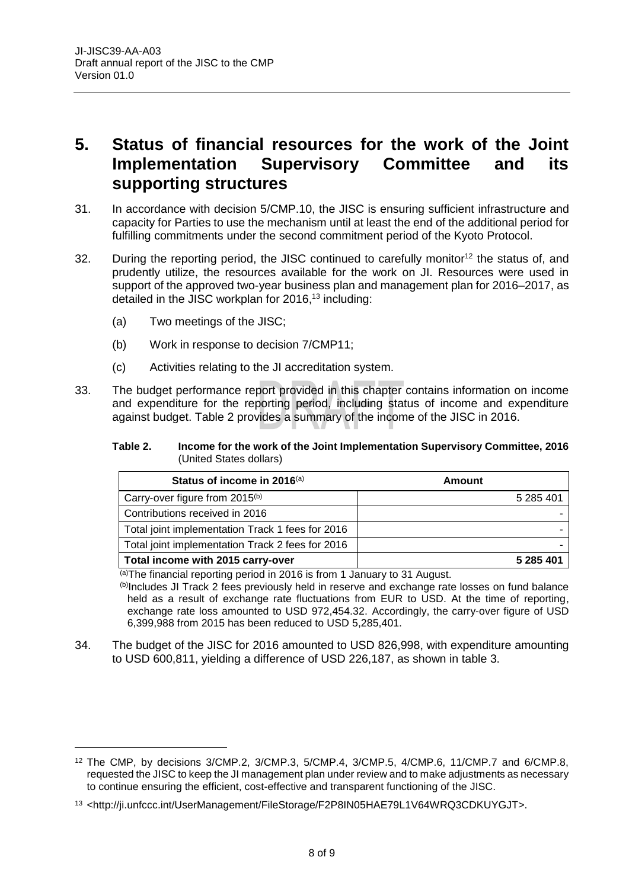#### <span id="page-7-0"></span>**5. Status of financial resources for the work of the Joint Implementation Supervisory Committee and its supporting structures**

- 31. In accordance with decision 5/CMP.10, the JISC is ensuring sufficient infrastructure and capacity for Parties to use the mechanism until at least the end of the additional period for fulfilling commitments under the second commitment period of the Kyoto Protocol.
- 32. During the reporting period, the JISC continued to carefully monitor<sup>12</sup> the status of, and prudently utilize, the resources available for the work on JI. Resources were used in support of the approved two-year business plan and management plan for 2016–2017, as detailed in the JISC workplan for 2016,<sup>13</sup> including:
	- (a) Two meetings of the JISC;

- (b) Work in response to decision 7/CMP11;
- (c) Activities relating to the JI accreditation system.
- 33. The budget performance report provided in this chapter contains information on income and expenditure for the reporting period, including status of income and expenditure against budget. Table 2 provides a summary of the income of the JISC in 2016.

#### **Table 2. Income for the work of the Joint Implementation Supervisory Committee, 2016** (United States dollars)

| Status of income in 2016(a)                      | Amount    |
|--------------------------------------------------|-----------|
| Carry-over figure from 2015 <sup>(b)</sup>       | 5 285 401 |
| Contributions received in 2016                   |           |
| Total joint implementation Track 1 fees for 2016 |           |
| Total joint implementation Track 2 fees for 2016 |           |
| Total income with 2015 carry-over                | 5 285 401 |

(a)The financial reporting period in 2016 is from 1 January to 31 August.

(b) Includes JI Track 2 fees previously held in reserve and exchange rate losses on fund balance held as a result of exchange rate fluctuations from EUR to USD. At the time of reporting, exchange rate loss amounted to USD 972,454.32. Accordingly, the carry-over figure of USD 6,399,988 from 2015 has been reduced to USD 5,285,401.

34. The budget of the JISC for 2016 amounted to USD 826,998, with expenditure amounting to USD 600,811, yielding a difference of USD 226,187, as shown in table 3.

<sup>12</sup> The CMP, by decisions 3/CMP.2, 3/CMP.3, 5/CMP.4, 3/CMP.5, 4/CMP.6, 11/CMP.7 and 6/CMP.8, requested the JISC to keep the JI management plan under review and to make adjustments as necessary to continue ensuring the efficient, cost-effective and transparent functioning of the JISC.

<sup>13</sup> <http://ji.unfccc.int/UserManagement/FileStorage/F2P8IN05HAE79L1V64WRQ3CDKUYGJT>.